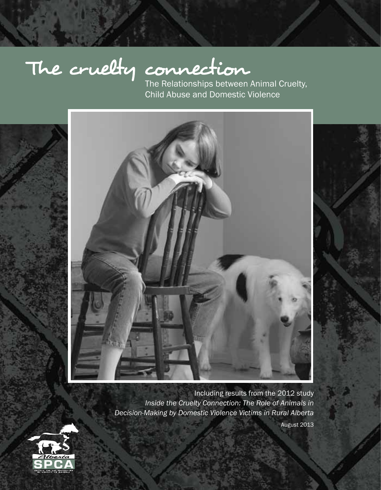# The cruelty connection

Child Abuse and Domestic Violence



Including results from the 2012 study *Inside the Cruelty Connection: The Role of Animals in Decision-Making by Domestic Violence Victims in Rural Alberta*



August 2013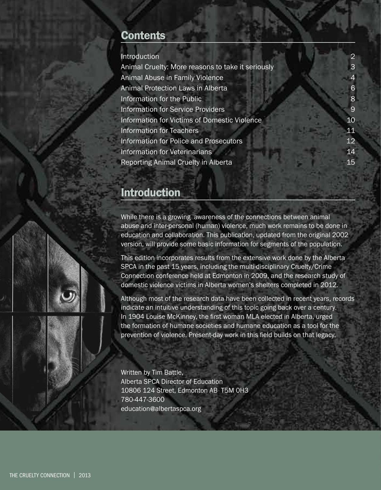# **Contents**

| Introduction                                      | 2            |
|---------------------------------------------------|--------------|
| Animal Cruelty: More reasons to take it seriously | $\mathbf{B}$ |
| Animal Abuse in Family Violence                   |              |
| Animal Protection Laws in Alberta                 | 6            |
| Information for the Public                        | 8            |
| Information for Service Providers                 | 9            |
| Information for Victims of Domestic Violence      | 10           |
| <b>Information for Teachers</b>                   | 11           |
| Information for Police and Prosecutors            | 12           |
| Information for Veterinarians                     | 14           |
| Reporting Animal Cruelty in Alberta               | 15           |
|                                                   |              |

# Introduction

While there is a growing awareness of the connections between animal abuse and inter-personal (human) violence, much work remains to be done in education and collaboration. This publication, updated from the original 2002 version, will provide some basic information for segments of the population.

This edition incorporates results from the extensive work done by the Alberta SPCA in the past 15 years, including the multi-disciplinary Cruelty/Crime Connection conference held at Edmonton in 2009, and the research study of domestic violence victims in Alberta women's shelters completed in 2012.

Although most of the research data have been collected in recent years, records indicate an intuitive understanding of this topic going back over a century. In 1904 Louise McKinney, the first woman MLA elected in Alberta, urged the formation of humane societies and humane education as a tool for the prevention of violence. Present-day work in this field builds on that legacy.

Written by Tim Battle, Alberta SPCA Director of Education 10806 124 Street, Edmonton AB T5M 0H3 780-447-3600 education@albertaspca.org



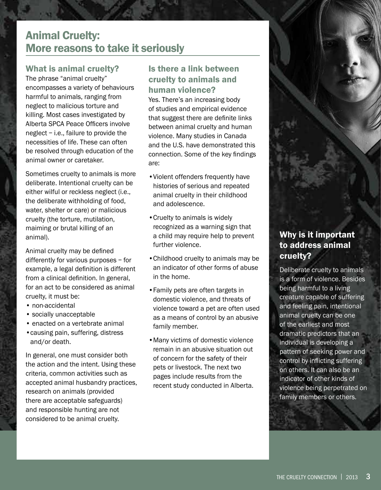# Animal Cruelty: More reasons to take it seriously

# What is animal cruelty?

The phrase "animal cruelty" encompasses a variety of behaviours harmful to animals, ranging from neglect to malicious torture and killing. Most cases investigated by Alberta SPCA Peace Officers involve neglect – i.e., failure to provide the necessities of life. These can often be resolved through education of the animal owner or caretaker.

Sometimes cruelty to animals is more deliberate. Intentional cruelty can be either wilful or reckless neglect (i.e., the deliberate withholding of food, water, shelter or care) or malicious cruelty (the torture, mutilation, maiming or brutal killing of an animal).

Animal cruelty may be defined differently for various purposes – for example, a legal definition is different from a clinical definition. In general, for an act to be considered as animal cruelty, it must be:

- non-accidental
- socially unacceptable
- enacted on a vertebrate animal
- •causing pain, suffering, distress and/or death.

In general, one must consider both the action and the intent. Using these criteria, common activities such as accepted animal husbandry practices, research on animals (provided there are acceptable safeguards) and responsible hunting are not considered to be animal cruelty.

# Is there a link between cruelty to animals and human violence?

Yes. There's an increasing body of studies and empirical evidence that suggest there are definite links between animal cruelty and human violence. Many studies in Canada and the U.S. have demonstrated this connection. Some of the key findings are:

- •Violent offenders frequently have histories of serious and repeated animal cruelty in their childhood and adolescence.
- •Cruelty to animals is widely recognized as a warning sign that a child may require help to prevent further violence.
- •Childhood cruelty to animals may be an indicator of other forms of abuse in the home.
- •Family pets are often targets in domestic violence, and threats of violence toward a pet are often used as a means of control by an abusive family member.
- •Many victims of domestic violence remain in an abusive situation out of concern for the safety of their pets or livestock. The next two pages include results from the recent study conducted in Alberta.

# Why is it important to address animal cruelty?

Deliberate cruelty to animals is a form of violence. Besides being harmful to a living creature capable of suffering and feeling pain, intentional animal cruelty can be one of the earliest and most dramatic predictors that an individual is developing a pattern of seeking power and control by inflicting suffering on others. It can also be an indicator of other kinds of violence being perpetrated on family members or others.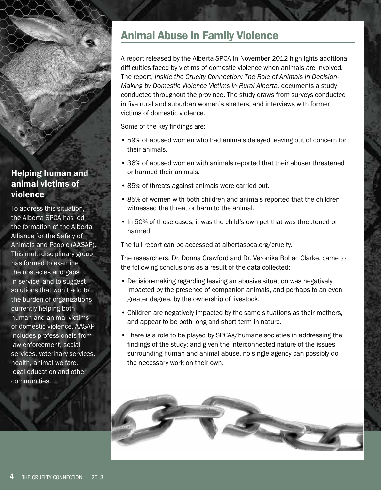# Helping human and animal victims of violence

To address this situation, the Alberta SPCA has led the formation of the Alberta Alliance for the Safety of Animals and People (AASAP). This multi-disciplinary group has formed to examine the obstacles and gaps in service, and to suggest solutions that won't add to the burden of organizations currently helping both human and animal victims of domestic violence. AASAP includes professionals from law enforcement, social services, veterinary services, health, animal welfare, legal education and other communities.

# Animal Abuse in Family Violence

A report released by the Alberta SPCA in November 2012 highlights additional difficulties faced by victims of domestic violence when animals are involved. The report, *Inside the Cruelty Connection: The Role of Animals in Decision-Making by Domestic Violence Victims in Rural Alberta,* documents a study conducted throughout the province. The study draws from surveys conducted in five rural and suburban women's shelters, and interviews with former victims of domestic violence.

Some of the key findings are:

- 59% of abused women who had animals delayed leaving out of concern for their animals.
- 36% of abused women with animals reported that their abuser threatened or harmed their animals.
- 85% of threats against animals were carried out.
- 85% of women with both children and animals reported that the children witnessed the threat or harm to the animal.
- In 50% of those cases, it was the child's own pet that was threatened or harmed.

The full report can be accessed at albertaspca.org/cruelty.

The researchers, Dr. Donna Crawford and Dr. Veronika Bohac Clarke, came to the following conclusions as a result of the data collected:

- Decision-making regarding leaving an abusive situation was negatively impacted by the presence of companion animals, and perhaps to an even greater degree, by the ownership of livestock.
- Children are negatively impacted by the same situations as their mothers, and appear to be both long and short term in nature.
- There is a role to be played by SPCAs/humane societies in addressing the findings of the study; and given the interconnected nature of the issues surrounding human and animal abuse, no single agency can possibly do the necessary work on their own.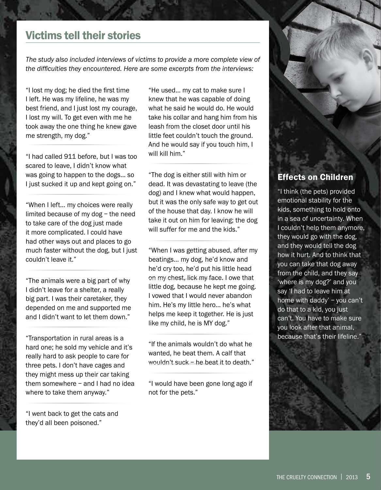# Victims tell their stories

*The study also included interviews of victims to provide a more complete view of the difficulties they encountered. Here are some excerpts from the interviews:*

"I lost my dog; he died the first time I left. He was my lifeline, he was my best friend, and I just lost my courage, I lost my will. To get even with me he took away the one thing he knew gave me strength, my dog."

"I had called 911 before, but I was too scared to leave, I didn't know what was going to happen to the dogs... so I just sucked it up and kept going on."

"When I left... my choices were really limited because of my dog – the need to take care of the dog just made it more complicated. I could have had other ways out and places to go much faster without the dog, but I just couldn't leave it."

"The animals were a big part of why I didn't leave for a shelter, a really big part. I was their caretaker, they depended on me and supported me and I didn't want to let them down."

"Transportation in rural areas is a hard one; he sold my vehicle and it's really hard to ask people to care for three pets. I don't have cages and they might mess up their car taking them somewhere – and I had no idea where to take them anyway."

"I went back to get the cats and they'd all been poisoned."

"He used... my cat to make sure I knew that he was capable of doing what he said he would do. He would take his collar and hang him from his leash from the closet door until his little feet couldn't touch the ground. And he would say if you touch him, I will kill him."

"The dog is either still with him or dead. It was devastating to leave (the dog) and I knew what would happen, but it was the only safe way to get out of the house that day. I know he will take it out on him for leaving; the dog will suffer for me and the kids."

"When I was getting abused, after my beatings... my dog, he'd know and he'd cry too, he'd put his little head on my chest, lick my face. I owe that little dog, because he kept me going. I vowed that I would never abandon him. He's my little hero... he's what helps me keep it together. He is just like my child, he is MY dog."

"If the animals wouldn't do what he wanted, he beat them. A calf that wouldn't suck – he beat it to death."

"I would have been gone long ago if not for the pets."

# Effects on Children

"I think (the pets) provided emotional stability for the kids, something to hold onto in a sea of uncertainty. When I couldn't help them anymore, they would go with the dog, and they would tell the dog how it hurt. And to think that you can take that dog away from the child, and they say 'where is my dog?' and you say 'I had to leave him at home with daddy' – you can't do that to a kid, you just can't. You have to make sure you look after that animal, because that's their lifeline.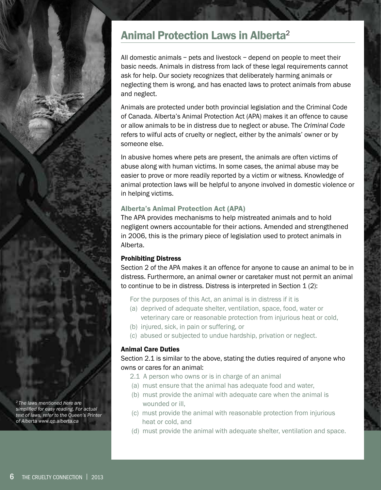# Animal Protection Laws in Alberta<sup>2</sup>

All domestic animals – pets and livestock – depend on people to meet their basic needs. Animals in distress from lack of these legal requirements cannot ask for help. Our society recognizes that deliberately harming animals or neglecting them is wrong, and has enacted laws to protect animals from abuse and neglect.

Animals are protected under both provincial legislation and the Criminal Code of Canada. Alberta's Animal Protection Act (APA) makes it an offence to cause or allow animals to be in distress due to neglect or abuse. The *Criminal Code* refers to wilful acts of cruelty or neglect, either by the animals' owner or by someone else.

In abusive homes where pets are present, the animals are often victims of abuse along with human victims. In some cases, the animal abuse may be easier to prove or more readily reported by a victim or witness. Knowledge of animal protection laws will be helpful to anyone involved in domestic violence or in helping victims.

#### Alberta's Animal Protection Act (APA)

The APA provides mechanisms to help mistreated animals and to hold negligent owners accountable for their actions. Amended and strengthened in 2006, this is the primary piece of legislation used to protect animals in Alberta.

#### Prohibiting Distress

Section 2 of the APA makes it an offence for anyone to cause an animal to be in distress. Furthermore, an animal owner or caretaker must not permit an animal to continue to be in distress. Distress is interpreted in Section 1 (2):

- For the purposes of this Act, an animal is in distress if it is
- (a) deprived of adequate shelter, ventilation, space, food, water or veterinary care or reasonable protection from injurious heat or cold,
- (b) injured, sick, in pain or suffering, or
- (c) abused or subjected to undue hardship, privation or neglect.

#### Animal Care Duties

#### Section 2.1 is similar to the above, stating the duties required of anyone who owns or cares for an animal:

- 2.1 A person who owns or is in charge of an animal
- (a) must ensure that the animal has adequate food and water,
- (b) must provide the animal with adequate care when the animal is wounded or ill,
- (c) must provide the animal with reasonable protection from injurious heat or cold, and
- (d) must provide the animal with adequate shelter, ventilation and space.

*2 The laws mentioned here are simplified for easy reading. For actual text of laws, refer to the Queen's Printer of Alberta www.qp.alberta.ca*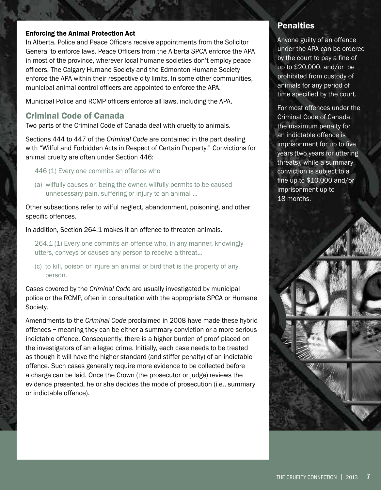#### Enforcing the Animal Protection Act

In Alberta, Police and Peace Officers receive appointments from the Solicitor General to enforce laws. Peace Officers from the Alberta SPCA enforce the APA in most of the province, wherever local humane societies don't employ peace officers. The Calgary Humane Society and the Edmonton Humane Society enforce the APA within their respective city limits. In some other communities, municipal animal control officers are appointed to enforce the APA.

Municipal Police and RCMP officers enforce all laws, including the APA.

#### Criminal Code of Canada

Two parts of the Criminal Code of Canada deal with cruelty to animals.

Sections 444 to 447 of the *Criminal Code* are contained in the part dealing with "Wilful and Forbidden Acts in Respect of Certain Property." Convictions for animal cruelty are often under Section 446:

446 (1) Every one commits an offence who

(a) wilfully causes or, being the owner, wilfully permits to be caused unnecessary pain, suffering or injury to an animal …

Other subsections refer to wilful neglect, abandonment, poisoning, and other specific offences.

In addition, Section 264.1 makes it an offence to threaten animals.

264.1 (1) Every one commits an offence who, in any manner, knowingly utters, conveys or causes any person to receive a threat...

(c) to kill, poison or injure an animal or bird that is the property of any person.

Cases covered by the *Criminal Code* are usually investigated by municipal police or the RCMP, often in consultation with the appropriate SPCA or Humane Society.

Amendments to the *Criminal Code* proclaimed in 2008 have made these hybrid offences – meaning they can be either a summary conviction or a more serious indictable offence. Consequently, there is a higher burden of proof placed on the investigators of an alleged crime. Initially, each case needs to be treated as though it will have the higher standard (and stiffer penalty) of an indictable offence. Such cases generally require more evidence to be collected before a charge can be laid. Once the Crown (the prosecutor or judge) reviews the evidence presented, he or she decides the mode of prosecution (i.e., summary or indictable offence).

### **Penalties**

Anyone guilty of an offence under the APA can be ordered by the court to pay a fine of up to \$20,000, and/or be prohibited from custody of animals for any period of time specified by the court.

For most offences under the Criminal Code of Canada, the maximum penalty for an indictable offence is imprisonment for up to five years (two years for uttering threats), while a summary conviction is subject to a fine up to \$10,000 and/or imprisonment up to 18 months.

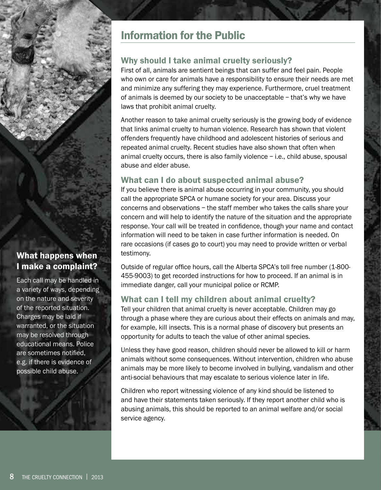# Information for the Public

# Why should I take animal cruelty seriously?

First of all, animals are sentient beings that can suffer and feel pain. People who own or care for animals have a responsibility to ensure their needs are met and minimize any suffering they may experience. Furthermore, cruel treatment of animals is deemed by our society to be unacceptable – that's why we have laws that prohibit animal cruelty.

Another reason to take animal cruelty seriously is the growing body of evidence that links animal cruelty to human violence. Research has shown that violent offenders frequently have childhood and adolescent histories of serious and repeated animal cruelty. Recent studies have also shown that often when animal cruelty occurs, there is also family violence – i.e., child abuse, spousal abuse and elder abuse.

# What can I do about suspected animal abuse?

If you believe there is animal abuse occurring in your community, you should call the appropriate SPCA or humane society for your area. Discuss your concerns and observations – the staff member who takes the calls share your concern and will help to identify the nature of the situation and the appropriate response. Your call will be treated in confidence, though your name and contact information will need to be taken in case further information is needed. On rare occasions (if cases go to court) you may need to provide written or verbal testimony.

Outside of regular office hours, call the Alberta SPCA's toll free number (1-800- 455-9003) to get recorded instructions for how to proceed. If an animal is in immediate danger, call your municipal police or RCMP.

# What can I tell my children about animal cruelty?

Tell your children that animal cruelty is never acceptable. Children may go through a phase where they are curious about their effects on animals and may, for example, kill insects. This is a normal phase of discovery but presents an opportunity for adults to teach the value of other animal species.

Unless they have good reason, children should never be allowed to kill or harm animals without some consequences. Without intervention, children who abuse animals may be more likely to become involved in bullying, vandalism and other anti-social behaviours that may escalate to serious violence later in life.

Children who report witnessing violence of any kind should be listened to and have their statements taken seriously. If they report another child who is abusing animals, this should be reported to an animal welfare and/or social service agency.

# What happens when I make a complaint?

Each call may be handled in a variety of ways, depending on the nature and severity of the reported situation. Charges may be laid if warranted, or the situation may be resolved through educational means. Police are sometimes notified, e.g. if there is evidence of possible child abuse.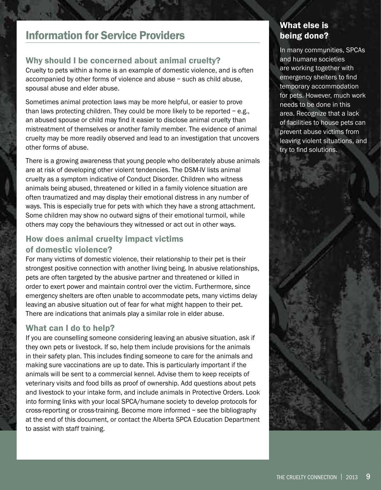# Information for Service Providers

# Why should I be concerned about animal cruelty?

Cruelty to pets within a home is an example of domestic violence, and is often accompanied by other forms of violence and abuse – such as child abuse, spousal abuse and elder abuse.

Sometimes animal protection laws may be more helpful, or easier to prove than laws protecting children. They could be more likely to be reported  $-e.g.,$ an abused spouse or child may find it easier to disclose animal cruelty than mistreatment of themselves or another family member. The evidence of animal cruelty may be more readily observed and lead to an investigation that uncovers other forms of abuse.

There is a growing awareness that young people who deliberately abuse animals are at risk of developing other violent tendencies. The DSM-IV lists animal cruelty as a symptom indicative of Conduct Disorder. Children who witness animals being abused, threatened or killed in a family violence situation are often traumatized and may display their emotional distress in any number of ways. This is especially true for pets with which they have a strong attachment. Some children may show no outward signs of their emotional turmoil, while others may copy the behaviours they witnessed or act out in other ways.

# How does animal cruelty impact victims of domestic violence?

For many victims of domestic violence, their relationship to their pet is their strongest positive connection with another living being. In abusive relationships, pets are often targeted by the abusive partner and threatened or killed in order to exert power and maintain control over the victim. Furthermore, since emergency shelters are often unable to accommodate pets, many victims delay leaving an abusive situation out of fear for what might happen to their pet. There are indications that animals play a similar role in elder abuse.

# What can I do to help?

If you are counselling someone considering leaving an abusive situation, ask if they own pets or livestock. If so, help them include provisions for the animals in their safety plan. This includes finding someone to care for the animals and making sure vaccinations are up to date. This is particularly important if the animals will be sent to a commercial kennel. Advise them to keep receipts of veterinary visits and food bills as proof of ownership. Add questions about pets and livestock to your intake form, and include animals in Protective Orders. Look into forming links with your local SPCA/humane society to develop protocols for cross-reporting or cross-training. Become more informed – see the bibliography at the end of this document, or contact the Alberta SPCA Education Department to assist with staff training.

# What else is being done?

In many communities, SPCAs and humane societies are working together with emergency shelters to find temporary accommodation for pets. However, much work needs to be done in this area. Recognize that a lack of facilities to house pets can prevent abuse victims from leaving violent situations, and try to find solutions.

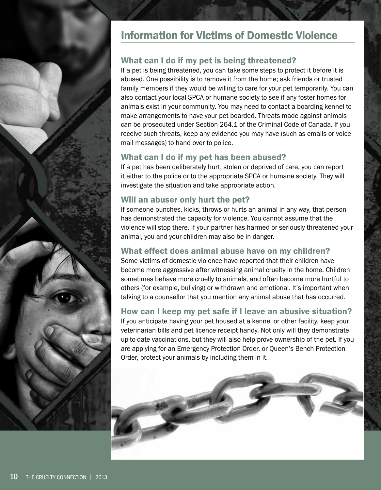

# What can I do if my pet is being threatened?

If a pet is being threatened, you can take some steps to protect it before it is abused. One possibility is to remove it from the home; ask friends or trusted family members if they would be willing to care for your pet temporarily. You can also contact your local SPCA or humane society to see if any foster homes for animals exist in your community. You may need to contact a boarding kennel to make arrangements to have your pet boarded. Threats made against animals can be prosecuted under Section 264.1 of the Criminal Code of Canada. If you receive such threats, keep any evidence you may have (such as emails or voice mail messages) to hand over to police.

# What can I do if my pet has been abused?

If a pet has been deliberately hurt, stolen or deprived of care, you can report it either to the police or to the appropriate SPCA or humane society. They will investigate the situation and take appropriate action.

# Will an abuser only hurt the pet?

If someone punches, kicks, throws or hurts an animal in any way, that person has demonstrated the capacity for violence. You cannot assume that the violence will stop there. If your partner has harmed or seriously threatened your animal, you and your children may also be in danger.

# What effect does animal abuse have on my children?

Some victims of domestic violence have reported that their children have become more aggressive after witnessing animal cruelty in the home. Children sometimes behave more cruelly to animals, and often become more hurtful to others (for example, bullying) or withdrawn and emotional. It's important when talking to a counsellor that you mention any animal abuse that has occurred.

# How can I keep my pet safe if I leave an abusive situation?

If you anticipate having your pet housed at a kennel or other facility, keep your veterinarian bills and pet licence receipt handy. Not only will they demonstrate up-to-date vaccinations, but they will also help prove ownership of the pet. If you are applying for an Emergency Protection Order, or Queen's Bench Protection Order, protect your animals by including them in it.

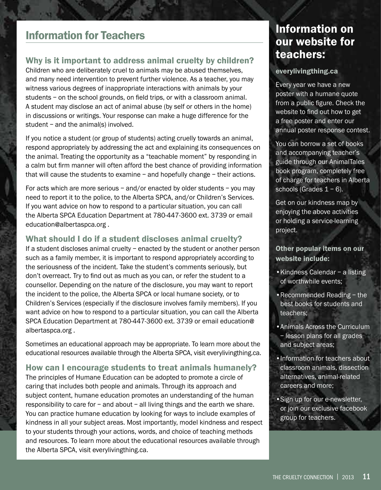# Information for Teachers

# Why is it important to address animal cruelty by children?

Children who are deliberately cruel to animals may be abused themselves, and many need intervention to prevent further violence. As a teacher, you may witness various degrees of inappropriate interactions with animals by your students – on the school grounds, on field trips, or with a classroom animal. A student may disclose an act of animal abuse (by self or others in the home) in discussions or writings. Your response can make a huge difference for the student – and the animal(s) involved.

If you notice a student (or group of students) acting cruelly towards an animal, respond appropriately by addressing the act and explaining its consequences on the animal. Treating the opportunity as a "teachable moment" by responding in a calm but firm manner will often afford the best chance of providing information that will cause the students to examine – and hopefully change – their actions.

For acts which are more serious  $-$  and/or enacted by older students  $-$  you may need to report it to the police, to the Alberta SPCA, and/or Children's Services. If you want advice on how to respond to a particular situation, you can call the Alberta SPCA Education Department at 780-447-3600 ext. 3739 or email education@albertaspca.org .

# What should I do if a student discloses animal cruelty?

If a student discloses animal cruelty – enacted by the student or another person such as a family member, it is important to respond appropriately according to the seriousness of the incident. Take the student's comments seriously, but don't overreact. Try to find out as much as you can, or refer the student to a counsellor. Depending on the nature of the disclosure, you may want to report the incident to the police, the Alberta SPCA or local humane society, or to Children's Services (especially if the disclosure involves family members). If you want advice on how to respond to a particular situation, you can call the Alberta SPCA Education Department at 780-447-3600 ext. 3739 or email education@ albertaspca.org .

Sometimes an educational approach may be appropriate. To learn more about the educational resources available through the Alberta SPCA, visit everylivingthing.ca.

How can I encourage students to treat animals humanely? The principles of Humane Education can be adopted to promote a circle of caring that includes both people and animals. Through its approach and subject content, humane education promotes an understanding of the human responsibility to care for – and about – all living things and the earth we share. You can practice humane education by looking for ways to include examples of kindness in all your subject areas. Most importantly, model kindness and respect to your students through your actions, words, and choice of teaching methods and resources. To learn more about the educational resources available through the Alberta SPCA, visit everylivingthing.ca.

# Information on our website for teachers:

#### everylivingthing.ca

Every year we have a new poster with a humane quote from a public figure. Check the website to find out how to get a free poster and enter our annual poster response contest.

You can borrow a set of books and accompanying teacher's guide through our AnimalTales book program, completely free of charge for teachers in Alberta schools (Grades  $1 - 6$ ).

Get on our kindness map by enjoying the above activities or holding a service-learning project.

# Other popular items on our website include:

- •Kindness Calendar a listing of worthwhile events;
- •Recommended Reading the best books for students and teachers;
- •Animals Across the Curriculum – lesson plans for all grades and subject areas;
- •Information for teachers about classroom animals, dissection alternatives, animal-related careers and more;

•Sign up for our e-newsletter, or join our exclusive facebook group for teachers.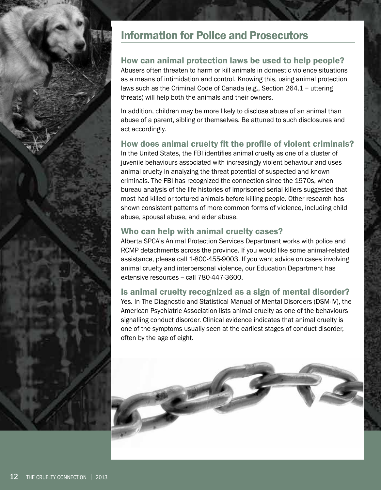

## How can animal protection laws be used to help people?

Abusers often threaten to harm or kill animals in domestic violence situations as a means of intimidation and control. Knowing this, using animal protection laws such as the Criminal Code of Canada (e.g., Section 264.1 – uttering threats) will help both the animals and their owners.

In addition, children may be more likely to disclose abuse of an animal than abuse of a parent, sibling or themselves. Be attuned to such disclosures and act accordingly.

#### How does animal cruelty fit the profile of violent criminals?

In the United States, the FBI identifies animal cruelty as one of a cluster of juvenile behaviours associated with increasingly violent behaviour and uses animal cruelty in analyzing the threat potential of suspected and known criminals. The FBI has recognized the connection since the 1970s, when bureau analysis of the life histories of imprisoned serial killers suggested that most had killed or tortured animals before killing people. Other research has shown consistent patterns of more common forms of violence, including child abuse, spousal abuse, and elder abuse.

### Who can help with animal cruelty cases?

Alberta SPCA's Animal Protection Services Department works with police and RCMP detachments across the province. If you would like some animal-related assistance, please call 1-800-455-9003. If you want advice on cases involving animal cruelty and interpersonal violence, our Education Department has extensive resources – call 780-447-3600.

#### Is animal cruelty recognized as a sign of mental disorder?

Yes. In The Diagnostic and Statistical Manual of Mental Disorders (DSM-IV), the American Psychiatric Association lists animal cruelty as one of the behaviours signalling conduct disorder. Clinical evidence indicates that animal cruelty is one of the symptoms usually seen at the earliest stages of conduct disorder, often by the age of eight.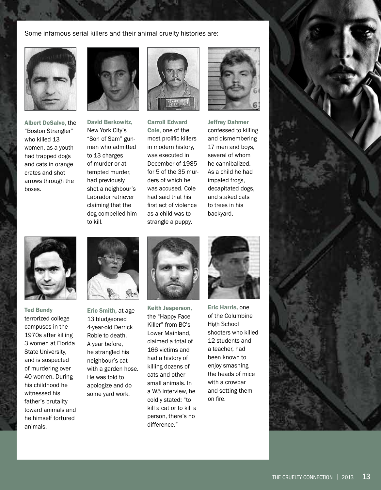Some infamous serial killers and their animal cruelty histories are:



Albert DeSalvo, the "Boston Strangler" who killed 13 women, as a youth had trapped dogs and cats in orange crates and shot arrows through the boxes.



David Berkowitz, New York City's "Son of Sam" gunman who admitted to 13 charges of murder or attempted murder, had previously shot a neighbour's Labrador retriever claiming that the dog compelled him to kill.



Carroll Edward Cole, one of the most prolific killers in modern history, was executed in December of 1985 for 5 of the 35 murders of which he was accused. Cole had said that his first act of violence as a child was to strangle a puppy.



Jeffrey Dahmer confessed to killing and dismembering 17 men and boys, several of whom he cannibalized. As a child he had impaled frogs, decapitated dogs, and staked cats to trees in his backyard.



Ted Bundy terrorized college campuses in the 1970s after killing 3 women at Florida State University, and is suspected of murdering over 40 women. During his childhood he witnessed his father's brutality toward animals and he himself tortured animals.



Eric Smith, at age 13 bludgeoned 4-year-old Derrick Robie to death. A year before, he strangled his neighbour's cat with a garden hose. He was told to apologize and do some yard work.



Keith Jesperson, the "Happy Face Killer" from BC's Lower Mainland, claimed a total of 166 victims and had a history of killing dozens of cats and other small animals. In a W5 interview, he coldly stated: "to kill a cat or to kill a person, there's no difference."



Eric Harris, one of the Columbine High School shooters who killed 12 students and a teacher, had been known to enjoy smashing the heads of mice with a crowbar and setting them on fire.

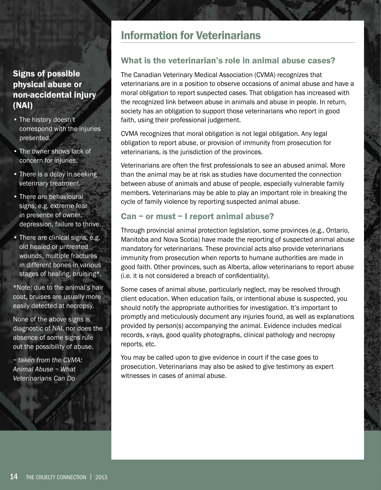# Signs of possible physical abuse or non-accidental injury (NAI)

- The history doesn't correspond with the injuries presented.
- The owner shows lack of concern for injuries.
- There is a delay in seeking veterinary treatment.
- There are behavioural signs, e.g. extreme fear in presence of owner, depression, failure to thrive.
- There are clinical signs, e.g. old healed or untreated wounds, multiple fractures in different bones in various stages of healing, bruising\*.

\*Note: due to the animal's hair coat, bruises are usually more easily detected at necropsy.

None of the above signs is diagnostic of NAI, nor does the absence of some signs rule out the possibility of abuse.

*– taken from the CVMA: Animal Abuse – What Veterinarians Can Do*

# Information for Veterinarians

# What is the veterinarian's role in animal abuse cases?

The Canadian Veterinary Medical Association (CVMA) recognizes that veterinarians are in a position to observe occasions of animal abuse and have a moral obligation to report suspected cases. That obligation has increased with the recognized link between abuse in animals and abuse in people. In return, society has an obligation to support those veterinarians who report in good faith, using their professional judgement.

CVMA recognizes that moral obligation is not legal obligation. Any legal obligation to report abuse, or provision of immunity from prosecution for veterinarians, is the jurisdiction of the provinces.

Veterinarians are often the first professionals to see an abused animal. More than the animal may be at risk as studies have documented the connection between abuse of animals and abuse of people, especially vulnerable family members. Veterinarians may be able to play an important role in breaking the cycle of family violence by reporting suspected animal abuse.

# Can – or must – I report animal abuse?

Through provincial animal protection legislation, some provinces (e.g., Ontario, Manitoba and Nova Scotia) have made the reporting of suspected animal abuse mandatory for veterinarians. These provincial acts also provide veterinarians immunity from prosecution when reports to humane authorities are made in good faith. Other provinces, such as Alberta, allow veterinarians to report abuse (i.e. it is not considered a breach of confidentiality).

Some cases of animal abuse, particularly neglect, may be resolved through client education. When education fails, or intentional abuse is suspected, you should notify the appropriate authorities for investigation. It's important to promptly and meticulously document any injuries found, as well as explanations provided by person(s) accompanying the animal. Evidence includes medical records, x-rays, good quality photographs, clinical pathology and necropsy reports, etc.

You may be called upon to give evidence in court if the case goes to prosecution. Veterinarians may also be asked to give testimony as expert witnesses in cases of animal abuse.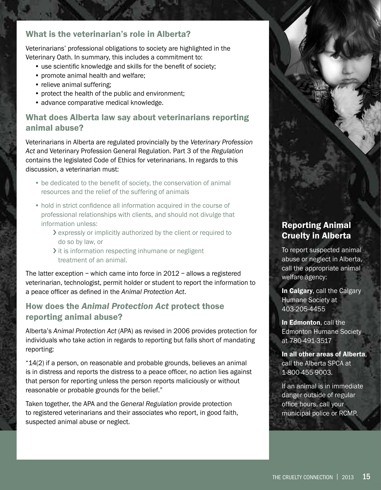# What is the veterinarian's role in Alberta?

Veterinarians' professional obligations to society are highlighted in the Veterinary Oath. In summary, this includes a commitment to:

- use scientific knowledge and skills for the benefit of society;
- promote animal health and welfare;
- relieve animal suffering;
- protect the health of the public and environment;
- advance comparative medical knowledge.

# What does Alberta law say about veterinarians reporting animal abuse?

Veterinarians in Alberta are regulated provincially by the *Veterinary Profession Act* and Veterinary Profession General Regulation. Part 3 of the *Regulation* contains the legislated Code of Ethics for veterinarians. In regards to this discussion, a veterinarian must:

- be dedicated to the benefit of society, the conservation of animal resources and the relief of the suffering of animals
- hold in strict confidence all information acquired in the course of professional relationships with clients, and should not divulge that information unless:
	- › expressly or implicitly authorized by the client or required to do so by law, or
	- It is information respecting inhumane or negligent treatment of an animal.

The latter exception – which came into force in 2012 – allows a registered veterinarian, technologist, permit holder or student to report the information to a peace officer as defined in the *Animal Protection Act*.

# How does the *Animal Protection Act* protect those reporting animal abuse?

Alberta's *Animal Protection Act* (APA) as revised in 2006 provides protection for individuals who take action in regards to reporting but falls short of mandating reporting:

"14(2) if a person, on reasonable and probable grounds, believes an animal is in distress and reports the distress to a peace officer, no action lies against that person for reporting unless the person reports maliciously or without reasonable or probable grounds for the belief."

Taken together, the APA and the *General Regulation* provide protection to registered veterinarians and their associates who report, in good faith, suspected animal abuse or neglect.

# Reporting Animal Cruelty in Alberta

To report suspected animal abuse or neglect in Alberta, call the appropriate animal welfare agency:

In Calgary, call the Calgary Humane Society at 403-205-4455

In Edmonton, call the Edmonton Humane Society at 780-491-3517

In all other areas of Alberta, call the Alberta SPCA at 1-800-455-9003.

If an animal is in immediate danger outside of regular office hours, call your municipal police or RCMP.